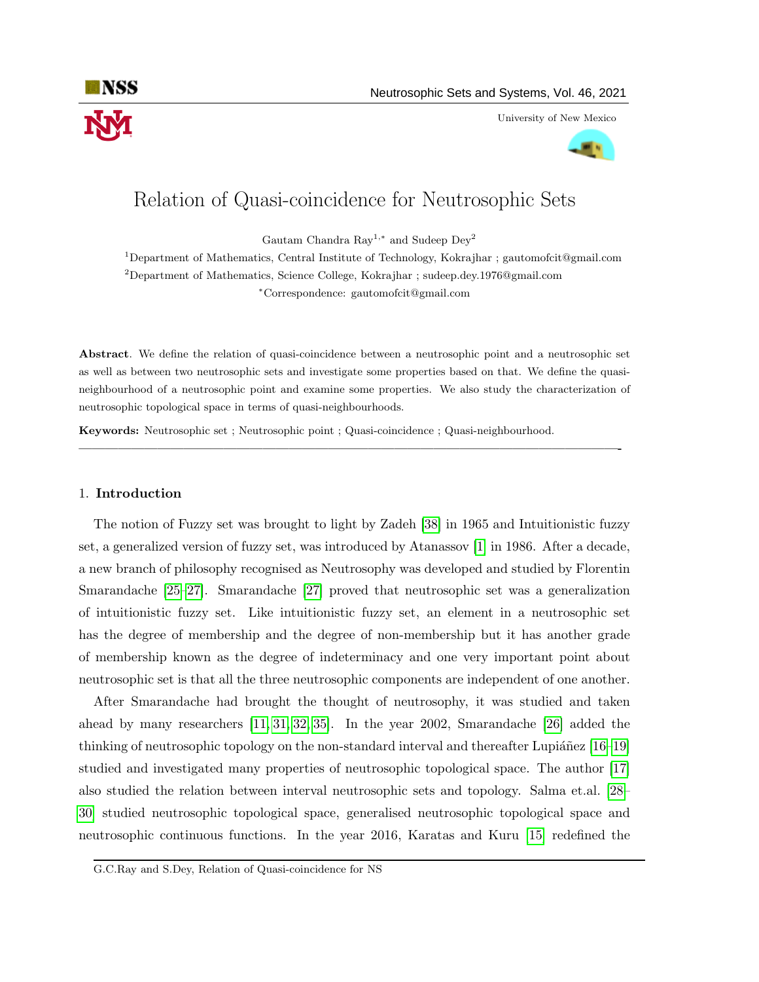

University of New Mexico



# Relation of Quasi-coincidence for Neutrosophic Sets

Gautam Chandra Ray<sup>1,∗</sup> and Sudeep Dey<sup>2</sup>

<sup>1</sup>Department of Mathematics, Central Institute of Technology, Kokrajhar ; gautomofcit@gmail.com <sup>2</sup>Department of Mathematics, Science College, Kokrajhar ; sudeep.dey.1976@gmail.com <sup>∗</sup>Correspondence: gautomofcit@gmail.com

Abstract. We define the relation of quasi-coincidence between a neutrosophic point and a neutrosophic set as well as between two neutrosophic sets and investigate some properties based on that. We define the quasineighbourhood of a neutrosophic point and examine some properties. We also study the characterization of neutrosophic topological space in terms of quasi-neighbourhoods.

—————————————————————————————————————————-

Keywords: Neutrosophic set ; Neutrosophic point ; Quasi-coincidence ; Quasi-neighbourhood.

## 1. Introduction

The notion of Fuzzy set was brought to light by Zadeh [\[38\]](#page-13-0) in 1965 and Intuitionistic fuzzy set, a generalized version of fuzzy set, was introduced by Atanassov [\[1\]](#page-12-0) in 1986. After a decade, a new branch of philosophy recognised as Neutrosophy was developed and studied by Florentin Smarandache [\[25](#page-13-1)[–27\]](#page-13-2). Smarandache [\[27\]](#page-13-2) proved that neutrosophic set was a generalization of intuitionistic fuzzy set. Like intuitionistic fuzzy set, an element in a neutrosophic set has the degree of membership and the degree of non-membership but it has another grade of membership known as the degree of indeterminacy and one very important point about neutrosophic set is that all the three neutrosophic components are independent of one another.

After Smarandache had brought the thought of neutrosophy, it was studied and taken ahead by many researchers [\[11,](#page-12-1) [31,](#page-13-3) [32,](#page-13-4) [35\]](#page-13-5). In the year 2002, Smarandache [\[26\]](#page-13-6) added the thinking of neutrosophic topology on the non-standard interval and thereafter Lupiánez  $[16–19]$  $[16–19]$ studied and investigated many properties of neutrosophic topological space. The author [\[17\]](#page-12-4) also studied the relation between interval neutrosophic sets and topology. Salma et.al. [\[28–](#page-13-7) [30\]](#page-13-8) studied neutrosophic topological space, generalised neutrosophic topological space and neutrosophic continuous functions. In the year 2016, Karatas and Kuru [\[15\]](#page-12-5) redefined the

G.C.Ray and S.Dey, Relation of Quasi-coincidence for NS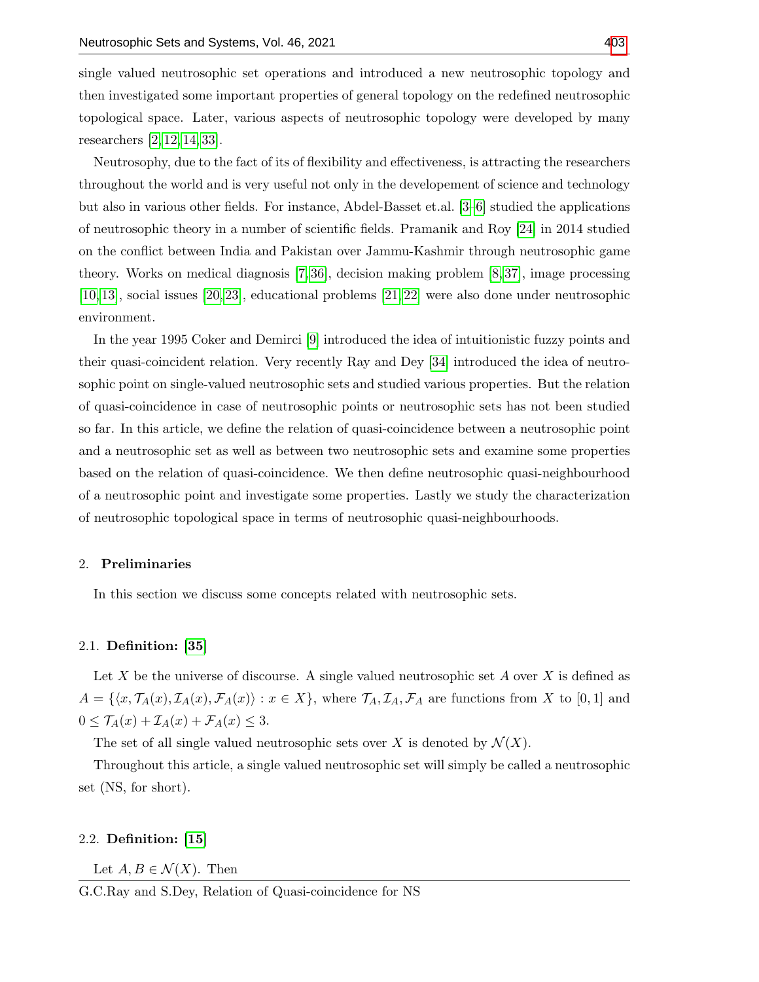single valued neutrosophic set operations and introduced a new neutrosophic topology and then investigated some important properties of general topology on the redefined neutrosophic topological space. Later, various aspects of neutrosophic topology were developed by many researchers [\[2,](#page-12-6) [12,](#page-12-7) [14,](#page-12-8) [33\]](#page-13-10).

Neutrosophy, due to the fact of its of flexibility and effectiveness, is attracting the researchers throughout the world and is very useful not only in the developement of science and technology but also in various other fields. For instance, Abdel-Basset et.al. [\[3–](#page-12-9)[6\]](#page-12-10) studied the applications of neutrosophic theory in a number of scientific fields. Pramanik and Roy [\[24\]](#page-13-11) in 2014 studied on the conflict between India and Pakistan over Jammu-Kashmir through neutrosophic game theory. Works on medical diagnosis [\[7,](#page-12-11) [36\]](#page-13-12), decision making problem [\[8,](#page-12-12) [37\]](#page-13-13), image processing [\[10,](#page-12-13) [13\]](#page-12-14), social issues [\[20,](#page-12-15) [23\]](#page-13-14), educational problems [\[21,](#page-12-16) [22\]](#page-12-17) were also done under neutrosophic environment.

In the year 1995 Coker and Demirci [\[9\]](#page-12-18) introduced the idea of intuitionistic fuzzy points and their quasi-coincident relation. Very recently Ray and Dey [\[34\]](#page-13-15) introduced the idea of neutrosophic point on single-valued neutrosophic sets and studied various properties. But the relation of quasi-coincidence in case of neutrosophic points or neutrosophic sets has not been studied so far. In this article, we define the relation of quasi-coincidence between a neutrosophic point and a neutrosophic set as well as between two neutrosophic sets and examine some properties based on the relation of quasi-coincidence. We then define neutrosophic quasi-neighbourhood of a neutrosophic point and investigate some properties. Lastly we study the characterization of neutrosophic topological space in terms of neutrosophic quasi-neighbourhoods.

## 2. Preliminaries

In this section we discuss some concepts related with neutrosophic sets.

## 2.1. Definition: [\[35\]](#page-13-5)

Let X be the universe of discourse. A single valued neutrosophic set A over X is defined as  $A = \{\langle x, \mathcal{T}_A(x), \mathcal{I}_A(x), \mathcal{F}_A(x)\rangle : x \in X\}$ , where  $\mathcal{T}_A, \mathcal{I}_A, \mathcal{F}_A$  are functions from X to [0, 1] and  $0 \leq \mathcal{T}_A(x) + \mathcal{I}_A(x) + \mathcal{F}_A(x) \leq 3.$ 

The set of all single valued neutrosophic sets over X is denoted by  $\mathcal{N}(X)$ .

Throughout this article, a single valued neutrosophic set will simply be called a neutrosophic set (NS, for short).

# 2.2. Definition: [\[15\]](#page-12-5)

Let  $A, B \in \mathcal{N}(X)$ . Then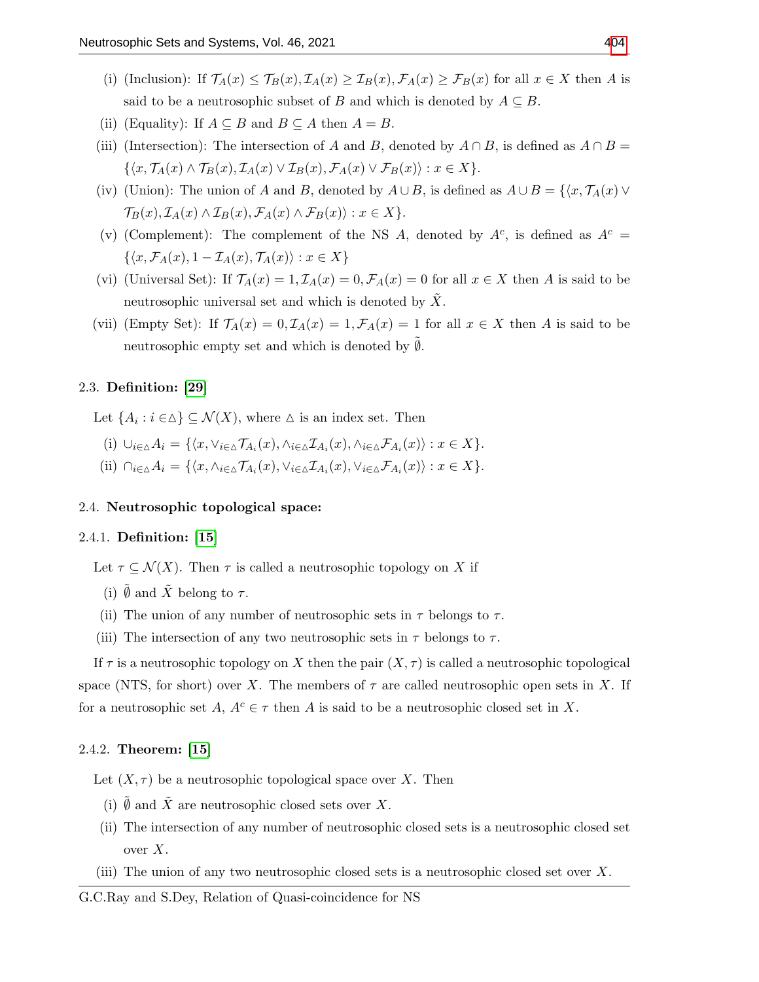- (i) (Inclusion): If  $\mathcal{T}_A(x) \leq \mathcal{T}_B(x)$ ,  $\mathcal{I}_A(x) \geq \mathcal{I}_B(x)$ ,  $\mathcal{F}_A(x) \geq \mathcal{F}_B(x)$  for all  $x \in X$  then A is said to be a neutrosophic subset of B and which is denoted by  $A \subseteq B$ .
- (ii) (Equality): If  $A \subseteq B$  and  $B \subseteq A$  then  $A = B$ .
- (iii) (Intersection): The intersection of A and B, denoted by  $A \cap B$ , is defined as  $A \cap B =$  $\{\langle x, \mathcal{T}_A(x) \wedge \mathcal{T}_B(x), \mathcal{I}_A(x) \vee \mathcal{I}_B(x), \mathcal{F}_A(x) \vee \mathcal{F}_B(x)\rangle : x \in X\}.$
- (iv) (Union): The union of A and B, denoted by  $A \cup B$ , is defined as  $A \cup B = \{x, \mathcal{T}_A(x) \vee \mathcal{T}_C(x) \mid x \in A\}$  $\mathcal{T}_B(x), \mathcal{I}_A(x) \wedge \mathcal{I}_B(x), \mathcal{F}_A(x) \wedge \mathcal{F}_B(x) \rangle : x \in X \}.$
- (v) (Complement): The complement of the NS A, denoted by  $A^c$ , is defined as  $A^c$  =  $\{\langle x, \mathcal{F}_A(x), 1 - \mathcal{I}_A(x), \mathcal{T}_A(x)\rangle : x \in X\}$
- (vi) (Universal Set): If  $\mathcal{T}_A(x) = 1, \mathcal{I}_A(x) = 0, \mathcal{F}_A(x) = 0$  for all  $x \in X$  then A is said to be neutrosophic universal set and which is denoted by  $\overline{X}$ .
- (vii) (Empty Set): If  $\mathcal{T}_A(x) = 0$ ,  $\mathcal{I}_A(x) = 1$ ,  $\mathcal{F}_A(x) = 1$  for all  $x \in X$  then A is said to be neutrosophic empty set and which is denoted by  $\emptyset$ .

# 2.3. Definition: [\[29\]](#page-13-16)

Let  $\{A_i : i \in \Delta\} \subseteq \mathcal{N}(X)$ , where  $\Delta$  is an index set. Then

(i)  $\cup_{i\in \Delta} A_i = \{ \langle x, \vee_{i\in \Delta} \mathcal{T}_{A_i}(x), \wedge_{i\in \Delta} \mathcal{I}_{A_i}(x), \wedge_{i\in \Delta} \mathcal{F}_{A_i}(x) \rangle : x \in X \}.$ (ii)  $\bigcap_{i\in\Delta}A_i = \{ \langle x, \wedge_{i\in\Delta} \mathcal{T}_{A_i}(x), \vee_{i\in\Delta} \mathcal{I}_{A_i}(x), \vee_{i\in\Delta} \mathcal{F}_{A_i}(x) \rangle : x \in X \}.$ 

## 2.4. Neutrosophic topological space:

## 2.4.1. Definition: [\[15\]](#page-12-5)

Let  $\tau \subseteq \mathcal{N}(X)$ . Then  $\tau$  is called a neutrosophic topology on X if

- (i)  $\emptyset$  and  $\tilde{X}$  belong to  $\tau$ .
- (ii) The union of any number of neutrosophic sets in  $\tau$  belongs to  $\tau$ .
- (iii) The intersection of any two neutrosophic sets in  $\tau$  belongs to  $\tau$ .

If  $\tau$  is a neutrosophic topology on X then the pair  $(X, \tau)$  is called a neutrosophic topological space (NTS, for short) over X. The members of  $\tau$  are called neutrosophic open sets in X. If for a neutrosophic set  $A, A^c \in \tau$  then A is said to be a neutrosophic closed set in X.

# 2.4.2. Theorem: [\[15\]](#page-12-5)

Let  $(X, \tau)$  be a neutrosophic topological space over X. Then

- (i)  $\tilde{\emptyset}$  and  $\tilde{X}$  are neutrosophic closed sets over X.
- (ii) The intersection of any number of neutrosophic closed sets is a neutrosophic closed set over  $X$ .
- (iii) The union of any two neutrosophic closed sets is a neutrosophic closed set over  $X$ .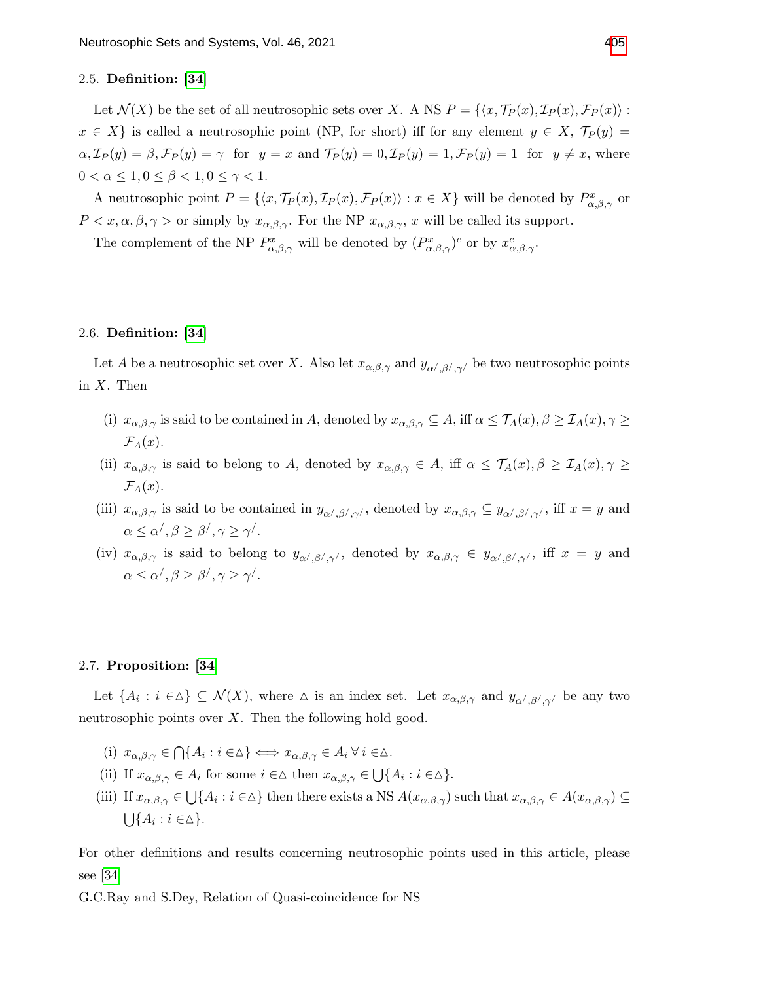## 2.5. Definition: [\[34\]](#page-13-15)

Let  $\mathcal{N}(X)$  be the set of all neutrosophic sets over X. A NS  $P = \{ \langle x, \mathcal{T}_P(x), \mathcal{I}_P(x), \mathcal{F}_P(x) \rangle :$  $x \in X$  is called a neutrosophic point (NP, for short) iff for any element  $y \in X$ ,  $\mathcal{T}_P(y) =$  $\alpha$ ,  $\mathcal{I}_P(y) = \beta$ ,  $\mathcal{F}_P(y) = \gamma$  for  $y = x$  and  $\mathcal{T}_P(y) = 0$ ,  $\mathcal{I}_P(y) = 1$ ,  $\mathcal{F}_P(y) = 1$  for  $y \neq x$ , where  $0 < \alpha \leq 1, 0 \leq \beta < 1, 0 \leq \gamma < 1.$ 

A neutrosophic point  $P = \{ \langle x, \mathcal{T}_P(x), \mathcal{I}_P(x), \mathcal{F}_P(x) \rangle : x \in X \}$  will be denoted by  $P_{\alpha,\beta,\gamma}^x$  or  $P < x, \alpha, \beta, \gamma >$  or simply by  $x_{\alpha,\beta,\gamma}$ . For the NP  $x_{\alpha,\beta,\gamma}$ , x will be called its support.

The complement of the NP  $P_{\alpha,\beta,\gamma}^x$  will be denoted by  $(P_{\alpha,\beta,\gamma}^x)^c$  or by  $x_{\alpha,\beta,\gamma}^c$ .

# 2.6. Definition: [\[34\]](#page-13-15)

Let A be a neutrosophic set over X. Also let  $x_{\alpha,\beta,\gamma}$  and  $y_{\alpha',\beta',\gamma'}$  be two neutrosophic points in  $X$ . Then

- (i)  $x_{\alpha,\beta,\gamma}$  is said to be contained in A, denoted by  $x_{\alpha,\beta,\gamma} \subseteq A$ , iff  $\alpha \leq \mathcal{T}_A(x), \beta \geq \mathcal{T}_A(x), \gamma \geq \mathcal{T}_A(x)$  $\mathcal{F}_A(x)$ .
- (ii)  $x_{\alpha,\beta,\gamma}$  is said to belong to A, denoted by  $x_{\alpha,\beta,\gamma} \in A$ , iff  $\alpha \leq \mathcal{T}_A(x), \beta \geq \mathcal{T}_A(x), \gamma \geq \mathcal{T}_A(x)$  $\mathcal{F}_A(x)$ .
- (iii)  $x_{\alpha,\beta,\gamma}$  is said to be contained in  $y_{\alpha',\beta',\gamma'}$ , denoted by  $x_{\alpha,\beta,\gamma} \subseteq y_{\alpha',\beta',\gamma'}$ , iff  $x = y$  and  $\alpha \leq \alpha^{\prime}, \beta \geq \beta^{\prime}, \gamma \geq \gamma^{\prime}.$
- (iv)  $x_{\alpha,\beta,\gamma}$  is said to belong to  $y_{\alpha',\beta',\gamma'}$ , denoted by  $x_{\alpha,\beta,\gamma} \in y_{\alpha',\beta',\gamma'}$ , iff  $x = y$  and  $\alpha \leq \alpha^{\prime}, \beta \geq \beta^{\prime}, \gamma \geq \gamma^{\prime}.$

# 2.7. Proposition: [\[34\]](#page-13-15)

Let  $\{A_i : i \in \Delta\} \subseteq \mathcal{N}(X)$ , where  $\Delta$  is an index set. Let  $x_{\alpha,\beta,\gamma}$  and  $y_{\alpha',\beta',\gamma'}$  be any two neutrosophic points over  $X$ . Then the following hold good.

- (i)  $x_{\alpha,\beta,\gamma} \in \bigcap \{A_i : i \in \Delta\} \Longleftrightarrow x_{\alpha,\beta,\gamma} \in A_i \,\forall \, i \in \Delta.$
- (ii) If  $x_{\alpha,\beta,\gamma} \in A_i$  for some  $i \in \Delta$  then  $x_{\alpha,\beta,\gamma} \in \bigcup \{A_i : i \in \Delta\}.$
- (iii) If  $x_{\alpha,\beta,\gamma} \in \bigcup \{A_i : i \in \Delta\}$  then there exists a NS  $A(x_{\alpha,\beta,\gamma})$  such that  $x_{\alpha,\beta,\gamma} \in A(x_{\alpha,\beta,\gamma}) \subseteq$  $\bigcup \{A_i : i \in \Delta\}.$

For other definitions and results concerning neutrosophic points used in this article, please see [\[34\]](#page-13-15)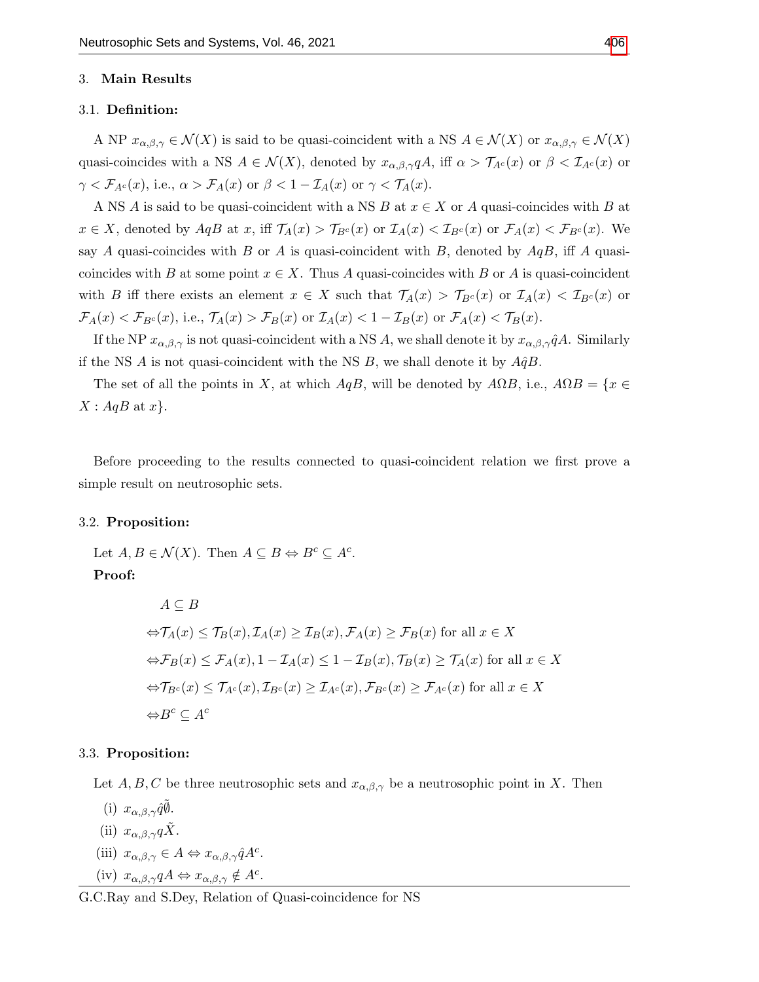## 3. Main Results

# 3.1. Definition:

A NP  $x_{\alpha,\beta,\gamma} \in \mathcal{N}(X)$  is said to be quasi-coincident with a NS  $A \in \mathcal{N}(X)$  or  $x_{\alpha,\beta,\gamma} \in \mathcal{N}(X)$ quasi-coincides with a NS  $A \in \mathcal{N}(X)$ , denoted by  $x_{\alpha,\beta,\gamma}qA$ , iff  $\alpha > \mathcal{T}_{A}(\alpha)$  or  $\beta < \mathcal{T}_{A}(\alpha)$  or  $\gamma < \mathcal{F}_{A^c}(x)$ , i.e.,  $\alpha > \mathcal{F}_{A}(x)$  or  $\beta < 1 - \mathcal{I}_{A}(x)$  or  $\gamma < \mathcal{T}_{A}(x)$ .

A NS A is said to be quasi-coincident with a NS B at  $x \in X$  or A quasi-coincides with B at  $x \in X$ , denoted by  $AqB$  at x, iff  $\mathcal{T}_A(x) > \mathcal{T}_{B^c}(x)$  or  $\mathcal{I}_A(x) < \mathcal{I}_{B^c}(x)$  or  $\mathcal{F}_A(x) < \mathcal{F}_{B^c}(x)$ . We say A quasi-coincides with B or A is quasi-coincident with B, denoted by  $AqB$ , iff A quasicoincides with B at some point  $x \in X$ . Thus A quasi-coincides with B or A is quasi-coincident with B iff there exists an element  $x \in X$  such that  $\mathcal{T}_A(x) > \mathcal{T}_{B^c}(x)$  or  $\mathcal{I}_A(x) < \mathcal{I}_{B^c}(x)$  or  $\mathcal{F}_A(x) < \mathcal{F}_{B^c}(x)$ , i.e.,  $\mathcal{T}_A(x) > \mathcal{F}_B(x)$  or  $\mathcal{I}_A(x) < 1 - \mathcal{I}_B(x)$  or  $\mathcal{F}_A(x) < \mathcal{T}_B(x)$ .

If the NP  $x_{\alpha,\beta,\gamma}$  is not quasi-coincident with a NS A, we shall denote it by  $x_{\alpha,\beta,\gamma}\hat{q}A$ . Similarly if the NS A is not quasi-coincident with the NS B, we shall denote it by  $A\hat{q}B$ .

The set of all the points in X, at which  $AqB$ , will be denoted by  $A\Omega B$ , i.e.,  $A\Omega B = \{x \in$  $X: AqB$  at  $x$ .

Before proceeding to the results connected to quasi-coincident relation we first prove a simple result on neutrosophic sets.

## 3.2. Proposition:

Let  $A, B \in \mathcal{N}(X)$ . Then  $A \subseteq B \Leftrightarrow B^c \subseteq A^c$ . Proof:

$$
A \subseteq B
$$
  
\n
$$
\Leftrightarrow \mathcal{T}_A(x) \le \mathcal{T}_B(x), \mathcal{T}_A(x) \ge \mathcal{T}_B(x), \mathcal{F}_A(x) \ge \mathcal{F}_B(x) \text{ for all } x \in X
$$
  
\n
$$
\Leftrightarrow \mathcal{F}_B(x) \le \mathcal{F}_A(x), 1 - \mathcal{T}_A(x) \le 1 - \mathcal{T}_B(x), \mathcal{T}_B(x) \ge \mathcal{T}_A(x) \text{ for all } x \in X
$$
  
\n
$$
\Leftrightarrow \mathcal{T}_{B^c}(x) \le \mathcal{T}_{A^c}(x), \mathcal{T}_{B^c}(x) \ge \mathcal{T}_{A^c}(x), \mathcal{F}_{B^c}(x) \ge \mathcal{F}_{A^c}(x) \text{ for all } x \in X
$$
  
\n
$$
\Leftrightarrow B^c \subseteq A^c
$$

#### 3.3. Proposition:

Let A, B, C be three neutrosophic sets and  $x_{\alpha,\beta,\gamma}$  be a neutrosophic point in X. Then

(i)  $x_{\alpha,\beta,\gamma}\hat{q}\tilde{\emptyset}$ . (ii)  $x_{\alpha,\beta,\gamma}q\tilde{X}$ . (iii)  $x_{\alpha,\beta,\gamma} \in A \Leftrightarrow x_{\alpha,\beta,\gamma} \hat{q} A^c$ . (iv)  $x_{\alpha,\beta,\gamma} qA \Leftrightarrow x_{\alpha,\beta,\gamma} \notin A^c$ .

G.C.Ray and S.Dey, Relation of Quasi-coincidence for NS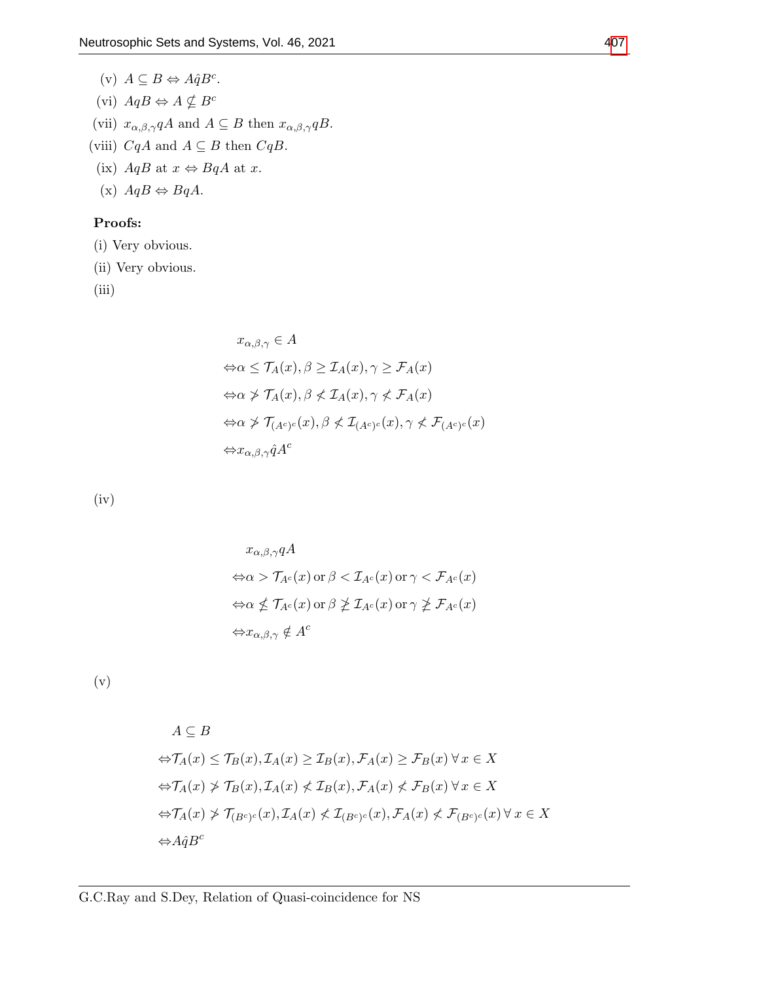(v)  $A \subseteq B \Leftrightarrow A\hat{q}B^c$ . (vi)  $AqB \Leftrightarrow A \nsubseteq B^c$ (vii)  $x_{\alpha,\beta,\gamma}qA$  and  $A \subseteq B$  then  $x_{\alpha,\beta,\gamma}qB$ . (viii)  $CqA$  and  $A \subseteq B$  then  $CqB$ . (ix)  $AqB$  at  $x \Leftrightarrow BqA$  at  $x$ . (x)  $AqB \Leftrightarrow BqA$ .

# Proofs:

(i) Very obvious.

(ii) Very obvious.

(iii)

$$
x_{\alpha,\beta,\gamma} \in A
$$
  
\n
$$
\Leftrightarrow \alpha \leq \mathcal{T}_A(x), \beta \geq \mathcal{T}_A(x), \gamma \geq \mathcal{F}_A(x)
$$
  
\n
$$
\Leftrightarrow \alpha \not> \mathcal{T}_A(x), \beta \not\leq \mathcal{T}_A(x), \gamma \not\leq \mathcal{F}_A(x)
$$
  
\n
$$
\Leftrightarrow \alpha \not\geq \mathcal{T}_{(A^c)^c}(x), \beta \not\leq \mathcal{T}_{(A^c)^c}(x), \gamma \not\leq \mathcal{F}_{(A^c)^c}(x)
$$
  
\n
$$
\Leftrightarrow x_{\alpha,\beta,\gamma} \hat{q} A^c
$$

(iv)

$$
x_{\alpha,\beta,\gamma} qA
$$
  
\n
$$
\Leftrightarrow \alpha > \mathcal{T}_{A^c}(x) \text{ or } \beta < \mathcal{I}_{A^c}(x) \text{ or } \gamma < \mathcal{F}_{A^c}(x)
$$
  
\n
$$
\Leftrightarrow \alpha \nleq \mathcal{T}_{A^c}(x) \text{ or } \beta \nleq \mathcal{I}_{A^c}(x) \text{ or } \gamma \nleq \mathcal{F}_{A^c}(x)
$$
  
\n
$$
\Leftrightarrow x_{\alpha,\beta,\gamma} \notin A^c
$$

(v)

$$
A \subseteq B
$$
  
\n
$$
\Leftrightarrow \mathcal{T}_A(x) \le \mathcal{T}_B(x), \mathcal{T}_A(x) \ge \mathcal{T}_B(x), \mathcal{F}_A(x) \ge \mathcal{F}_B(x) \,\forall \, x \in X
$$
  
\n
$$
\Leftrightarrow \mathcal{T}_A(x) \not> \mathcal{T}_B(x), \mathcal{T}_A(x) \not\le \mathcal{T}_B(x), \mathcal{F}_A(x) \not\le \mathcal{F}_B(x) \,\forall \, x \in X
$$
  
\n
$$
\Leftrightarrow \mathcal{T}_A(x) \not\ge \mathcal{T}_{(B^c)^c}(x), \mathcal{T}_A(x) \not\le \mathcal{T}_{(B^c)^c}(x), \mathcal{F}_A(x) \not\le \mathcal{F}_{(B^c)^c}(x) \,\forall \, x \in X
$$
  
\n
$$
\Leftrightarrow A\hat{q}B^c
$$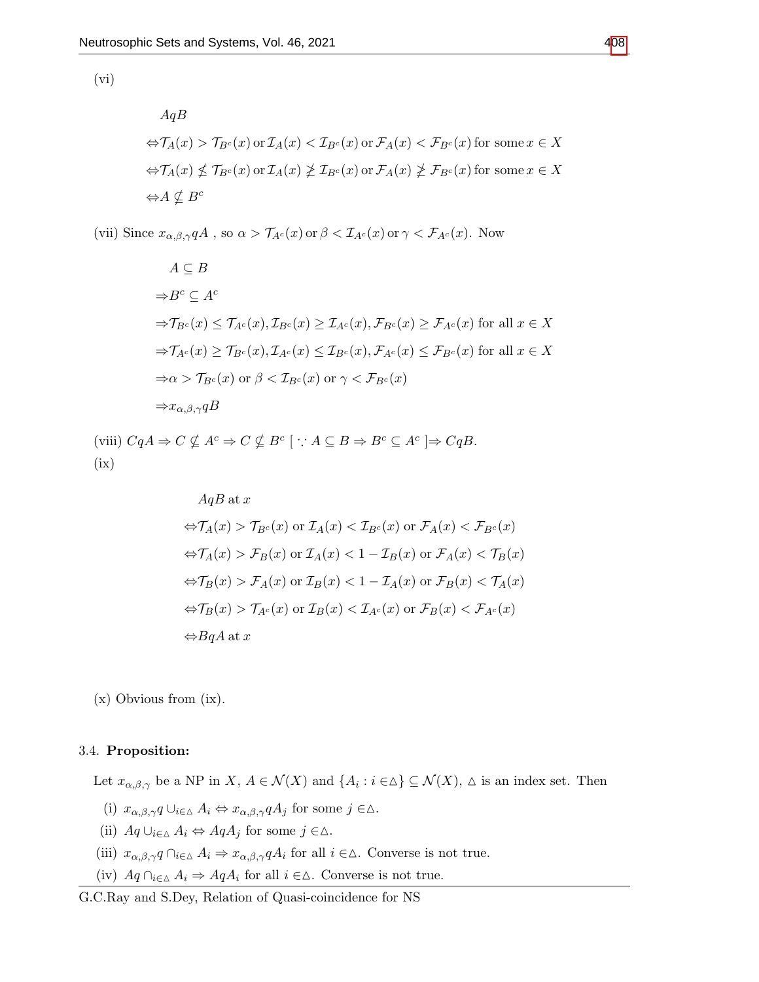$(vi)$ 

$$
AqB
$$
  
\n
$$
\Leftrightarrow \mathcal{T}_A(x) > \mathcal{T}_{B^c}(x) \text{ or } \mathcal{I}_A(x) < \mathcal{I}_{B^c}(x) \text{ or } \mathcal{F}_A(x) < \mathcal{F}_{B^c}(x) \text{ for some } x \in X
$$
  
\n
$$
\Leftrightarrow \mathcal{T}_A(x) \nleq \mathcal{T}_{B^c}(x) \text{ or } \mathcal{I}_A(x) \nleq \mathcal{I}_{B^c}(x) \text{ or } \mathcal{F}_A(x) \nleq \mathcal{F}_{B^c}(x) \text{ for some } x \in X
$$
  
\n
$$
\Leftrightarrow A \nsubseteq B^c
$$

(vii) Since  $x_{\alpha,\beta,\gamma}qA$ , so  $\alpha > \mathcal{T}_{A^c}(x)$  or  $\beta < \mathcal{I}_{A^c}(x)$  or  $\gamma < \mathcal{F}_{A^c}(x)$ . Now

$$
A \subseteq B
$$
  
\n
$$
\Rightarrow B^{c} \subseteq A^{c}
$$
  
\n
$$
\Rightarrow T_{B^{c}}(x) \leq T_{A^{c}}(x), T_{B^{c}}(x) \geq T_{A^{c}}(x), \mathcal{F}_{B^{c}}(x) \geq \mathcal{F}_{A^{c}}(x) \text{ for all } x \in X
$$
  
\n
$$
\Rightarrow T_{A^{c}}(x) \geq T_{B^{c}}(x), T_{A^{c}}(x) \leq T_{B^{c}}(x), \mathcal{F}_{A^{c}}(x) \leq \mathcal{F}_{B^{c}}(x) \text{ for all } x \in X
$$
  
\n
$$
\Rightarrow \alpha > T_{B^{c}}(x) \text{ or } \beta < T_{B^{c}}(x) \text{ or } \gamma < \mathcal{F}_{B^{c}}(x)
$$
  
\n
$$
\Rightarrow x_{\alpha,\beta,\gamma}qB
$$

(viii)  $CqA \Rightarrow C \nsubseteq A^c \Rightarrow C \nsubseteq B^c \quad \therefore A \subseteq B \Rightarrow B^c \subseteq A^c \Rightarrow CqB.$  $(ix)$ 

$$
AqB \text{ at } x
$$
  
\n
$$
\Leftrightarrow \mathcal{T}_A(x) > \mathcal{T}_{B^c}(x) \text{ or } \mathcal{T}_A(x) < \mathcal{T}_{B^c}(x) \text{ or } \mathcal{F}_A(x) < \mathcal{F}_{B^c}(x)
$$
  
\n
$$
\Leftrightarrow \mathcal{T}_A(x) > \mathcal{F}_B(x) \text{ or } \mathcal{T}_A(x) < 1 - \mathcal{T}_B(x) \text{ or } \mathcal{F}_A(x) < \mathcal{T}_B(x)
$$
  
\n
$$
\Leftrightarrow \mathcal{T}_B(x) > \mathcal{F}_A(x) \text{ or } \mathcal{T}_B(x) < 1 - \mathcal{T}_A(x) \text{ or } \mathcal{F}_B(x) < \mathcal{T}_A(x)
$$
  
\n
$$
\Leftrightarrow \mathcal{T}_B(x) > \mathcal{T}_{A^c}(x) \text{ or } \mathcal{T}_B(x) < \mathcal{T}_{A^c}(x) \text{ or } \mathcal{F}_B(x) < \mathcal{F}_{A^c}(x)
$$
  
\n
$$
\Leftrightarrow BqA \text{ at } x
$$

(x) Obvious from (ix).

# 3.4. Proposition:

Let  $x_{\alpha,\beta,\gamma}$  be a NP in  $X, A \in \mathcal{N}(X)$  and  $\{A_i : i \in \Delta\} \subseteq \mathcal{N}(X), \Delta$  is an index set. Then

- (i)  $x_{\alpha,\beta,\gamma}q \cup_{i\in\Delta} A_i \Leftrightarrow x_{\alpha,\beta,\gamma}qA_j$  for some  $j \in \Delta$ .
- (ii)  $Aq \cup_{i \in \Delta} A_i \Leftrightarrow AqA_j$  for some  $j \in \Delta$ .
- (iii)  $x_{\alpha,\beta,\gamma}q \cap_{i\in\Delta} A_i \Rightarrow x_{\alpha,\beta,\gamma}qA_i$  for all  $i \in \Delta$ . Converse is not true.
- (iv)  $Aq \cap_{i \in \Delta} A_i \Rightarrow AqA_i$  for all  $i \in \Delta$ . Converse is not true.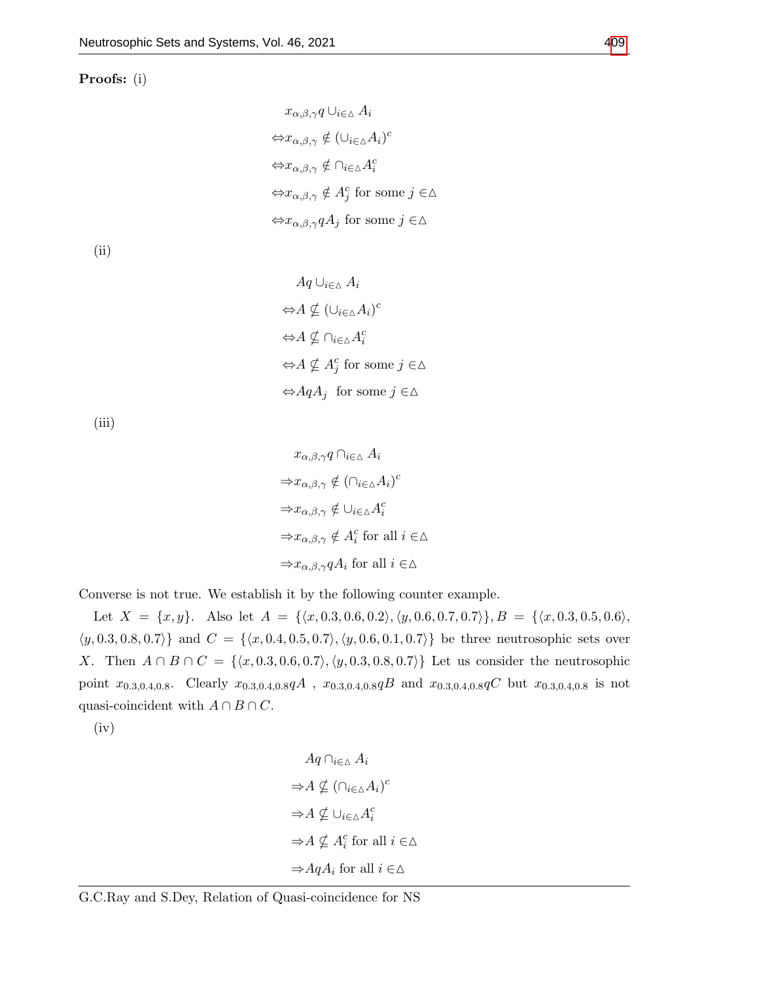Proofs: (i)

$$
x_{\alpha,\beta,\gamma}q \cup_{i \in \Delta} A_i
$$
  
\n
$$
\Leftrightarrow x_{\alpha,\beta,\gamma} \notin (\cup_{i \in \Delta} A_i)^c
$$
  
\n
$$
\Leftrightarrow x_{\alpha,\beta,\gamma} \notin \cap_{i \in \Delta} A_i^c
$$
  
\n
$$
\Leftrightarrow x_{\alpha,\beta,\gamma} \notin A_j^c \text{ for some } j \in \Delta
$$
  
\n
$$
\Leftrightarrow x_{\alpha,\beta,\gamma}qA_j \text{ for some } j \in \Delta
$$

(ii)

$$
Aq \cup_{i \in \Delta} A_i
$$
  
\n
$$
\Leftrightarrow A \nsubseteq (\cup_{i \in \Delta} A_i)^c
$$
  
\n
$$
\Leftrightarrow A \nsubseteq \cap_{i \in \Delta} A_i^c
$$
  
\n
$$
\Leftrightarrow A \nsubseteq A_j^c \text{ for some } j \in \Delta
$$
  
\n
$$
\Leftrightarrow AqA_j \text{ for some } j \in \Delta
$$

(iii)

$$
x_{\alpha,\beta,\gamma} q \cap_{i \in \Delta} A_i
$$
  
\n
$$
\Rightarrow x_{\alpha,\beta,\gamma} \notin (\cap_{i \in \Delta} A_i)^c
$$
  
\n
$$
\Rightarrow x_{\alpha,\beta,\gamma} \notin \cup_{i \in \Delta} A_i^c
$$
  
\n
$$
\Rightarrow x_{\alpha,\beta,\gamma} \notin A_i^c \text{ for all } i \in \Delta
$$
  
\n
$$
\Rightarrow x_{\alpha,\beta,\gamma} qA_i \text{ for all } i \in \Delta
$$

Converse is not true. We establish it by the following counter example.

Let  $X = \{x, y\}$ . Also let  $A = \{\langle x, 0.3, 0.6, 0.2\rangle, \langle y, 0.6, 0.7, 0.7\rangle\}, B = \{\langle x, 0.3, 0.5, 0.6\rangle,$  $\langle y, 0.3, 0.8, 0.7 \rangle$  and  $C = \{\langle x, 0.4, 0.5, 0.7 \rangle, \langle y, 0.6, 0.1, 0.7 \rangle\}$  be three neutrosophic sets over X. Then  $A \cap B \cap C = \{\langle x, 0.3, 0.6, 0.7 \rangle, \langle y, 0.3, 0.8, 0.7 \rangle\}$  Let us consider the neutrosophic point  $x_{0.3,0.4,0.8}$ . Clearly  $x_{0.3,0.4,0.8}qA$ ,  $x_{0.3,0.4,0.8}qB$  and  $x_{0.3,0.4,0.8}qC$  but  $x_{0.3,0.4,0.8}$  is not quasi-coincident with  $A \cap B \cap C$ .

(iv)

$$
Aq \cap_{i \in \Delta} A_i
$$
  
\n
$$
\Rightarrow A \nsubseteq (\cap_{i \in \Delta} A_i)^c
$$
  
\n
$$
\Rightarrow A \nsubseteq \cup_{i \in \Delta} A_i^c
$$
  
\n
$$
\Rightarrow A \nsubseteq A_i^c \text{ for all } i \in \Delta
$$
  
\n
$$
\Rightarrow AqA_i \text{ for all } i \in \Delta
$$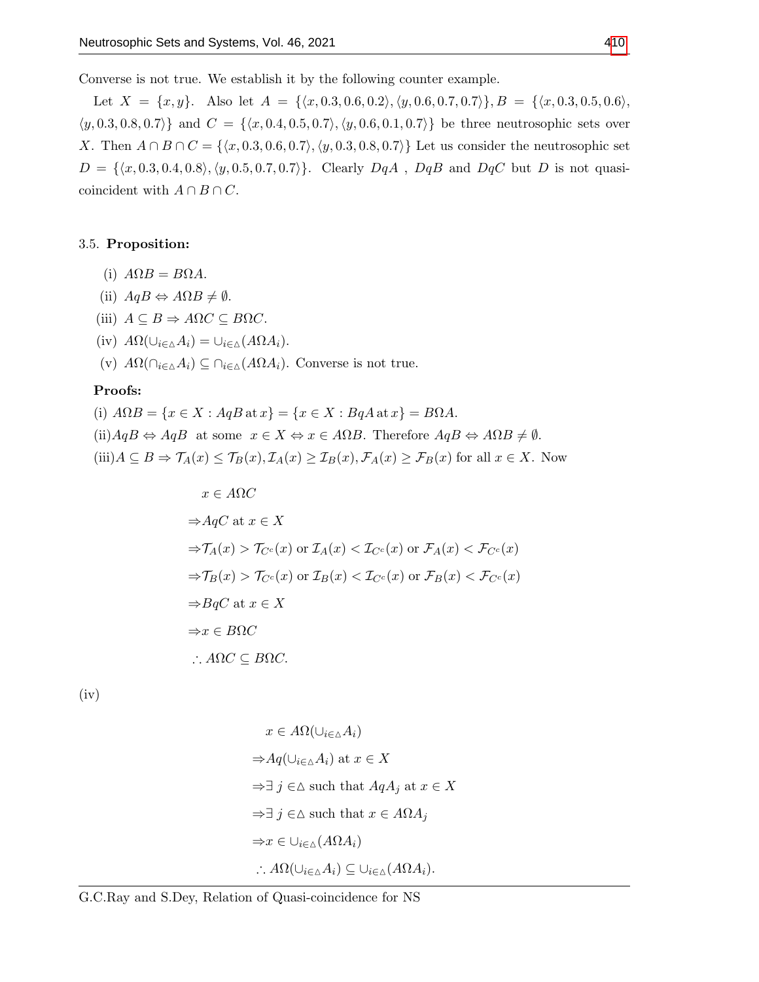Converse is not true. We establish it by the following counter example.

Let  $X = \{x, y\}$ . Also let  $A = \{\langle x, 0.3, 0.6, 0.2\rangle, \langle y, 0.6, 0.7, 0.7\rangle\}, B = \{\langle x, 0.3, 0.5, 0.6\rangle,$  $\{(y, 0.3, 0.8, 0.7)\}\$  and  $C = \{(x, 0.4, 0.5, 0.7), (y, 0.6, 0.1, 0.7)\}\$  be three neutrosophic sets over X. Then  $A \cap B \cap C = \{ \langle x, 0.3, 0.6, 0.7 \rangle, \langle y, 0.3, 0.8, 0.7 \rangle \}$  Let us consider the neutrosophic set  $D = \{\langle x, 0.3, 0.4, 0.8\rangle, \langle y, 0.5, 0.7, 0.7\rangle\}.$  Clearly  $DqA$ ,  $DqB$  and  $DqC$  but D is not quasicoincident with  $A \cap B \cap C$ .

## 3.5. Proposition:

- (i)  $A\Omega B = B\Omega A$ .
- (ii)  $AqB \Leftrightarrow A\Omega B \neq \emptyset$ .
- (iii)  $A \subseteq B \Rightarrow A\Omega C \subseteq B\Omega C$ .
- (iv)  $A\Omega(\cup_{i\in\Delta}A_i)=\cup_{i\in\Delta}(A\Omega A_i).$
- (v)  $A\Omega(\bigcap_{i\in\Delta}A_i)\subseteq \bigcap_{i\in\Delta}(A\Omega A_i)$ . Converse is not true.

# Proofs:

(i)  $A\Omega B = \{x \in X : AqB \text{ at } x\} = \{x \in X : BqA \text{ at } x\} = B\Omega A.$ (ii) $AqB \Leftrightarrow AqB$  at some  $x \in X \Leftrightarrow x \in A\Omega B$ . Therefore  $AqB \Leftrightarrow A\Omega B \neq \emptyset$ .  $(iii)A \subseteq B \Rightarrow \mathcal{T}_A(x) \leq \mathcal{T}_B(x), \mathcal{I}_A(x) \geq \mathcal{I}_B(x), \mathcal{F}_A(x) \geq \mathcal{F}_B(x)$  for all  $x \in X$ . Now

$$
x \in A\Omega C
$$
  
\n
$$
\Rightarrow AqC \text{ at } x \in X
$$
  
\n
$$
\Rightarrow \mathcal{T}_A(x) > \mathcal{T}_{C^c}(x) \text{ or } \mathcal{T}_A(x) < \mathcal{T}_{C^c}(x) \text{ or } \mathcal{F}_A(x) < \mathcal{F}_{C^c}(x)
$$
  
\n
$$
\Rightarrow \mathcal{T}_B(x) > \mathcal{T}_{C^c}(x) \text{ or } \mathcal{T}_B(x) < \mathcal{T}_{C^c}(x) \text{ or } \mathcal{F}_B(x) < \mathcal{F}_{C^c}(x)
$$
  
\n
$$
\Rightarrow BqC \text{ at } x \in X
$$
  
\n
$$
\Rightarrow x \in B\Omega C
$$
  
\n
$$
\therefore A\Omega C \subseteq B\Omega C.
$$

(iv)

$$
x \in A\Omega(\cup_{i \in \Delta} A_i)
$$
  
\n
$$
\Rightarrow Aq(\cup_{i \in \Delta} A_i) \text{ at } x \in X
$$
  
\n
$$
\Rightarrow \exists j \in \Delta \text{ such that } AqA_j \text{ at } x \in X
$$
  
\n
$$
\Rightarrow \exists j \in \Delta \text{ such that } x \in A\Omega A_j
$$
  
\n
$$
\Rightarrow x \in \cup_{i \in \Delta} (A\Omega A_i)
$$
  
\n
$$
\therefore A\Omega(\cup_{i \in \Delta} A_i) \subseteq \cup_{i \in \Delta} (A\Omega A_i).
$$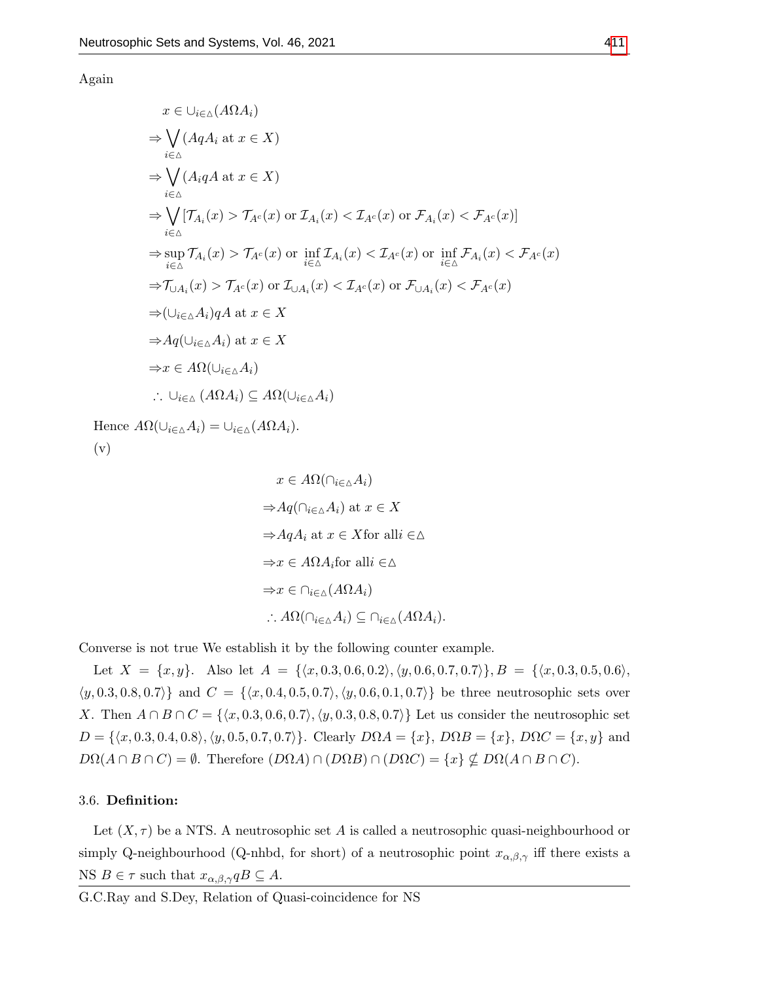Again

$$
x \in \bigcup_{i \in \Delta} (A \Omega A_i)
$$
  
\n
$$
\Rightarrow \bigvee_{i \in \Delta} (A q A_i \text{ at } x \in X)
$$
  
\n
$$
\Rightarrow \bigvee_{i \in \Delta} (A_i q A \text{ at } x \in X)
$$
  
\n
$$
\Rightarrow \bigvee_{i \in \Delta} (\overline{A_i q A \text{ at } x \in X})
$$
  
\n
$$
\Rightarrow \bigvee_{i \in \Delta} [\overline{A_i(x)} \rangle \overline{A_i(x)} \text{ or } \overline{A_i(x)} < \overline{A_i(x)} \text{ or } \overline{A_i(x)} \langle x \rangle \langle \overline{A_i(x)} \rangle]
$$
  
\n
$$
\Rightarrow \sup_{i \in \Delta} \overline{A_i(x)} \rangle \overline{A_i(x)} \text{ or } \inf_{i \in \Delta} \overline{A_i(x)} < \overline{A_i(x)} \text{ or } \overline{A_i(x)} \langle x \rangle \langle \overline{A_i(x)} \rangle
$$
  
\n
$$
\Rightarrow \overline{A_i(x)} \rangle \overline{A_i(x)} \text{ or } \overline{A_{\cup \Delta}}(x) < \overline{A_{\Delta}}(x) \text{ or } \overline{A_{\cup \Delta}}(x) < \overline{A_{\Delta}}(x)
$$
  
\n
$$
\Rightarrow (\bigcup_{i \in \Delta} A_i) q A \text{ at } x \in X
$$
  
\n
$$
\Rightarrow A q (\bigcup_{i \in \Delta} A_i) \text{ at } x \in X
$$
  
\n
$$
\Rightarrow x \in A \Omega (\bigcup_{i \in \Delta} A_i)
$$
  
\n
$$
\therefore \bigcup_{i \in \Delta} (A \Omega A_i) \subseteq A \Omega (\bigcup_{i \in \Delta} A_i)
$$
  
\n
$$
\Omega (\bigcup_{i \in \Delta} A_i) = \bigcup_{i \in \Delta} (A \Omega A_i).
$$

Hence  $A\Omega(\cup_{i\in\Delta}A_i)=\cup_{i\in\Delta}A_i$ (v)

$$
x \in A\Omega(\cap_{i \in \Delta} A_i)
$$
  
\n
$$
\Rightarrow Aq(\cap_{i \in \Delta} A_i) \text{ at } x \in X
$$
  
\n
$$
\Rightarrow AqA_i \text{ at } x \in X \text{ for all } i \in \Delta
$$
  
\n
$$
\Rightarrow x \in A\Omega A_i \text{ for all } i \in \Delta
$$
  
\n
$$
\Rightarrow x \in \cap_{i \in \Delta} (A\Omega A_i)
$$
  
\n
$$
\therefore A\Omega(\cap_{i \in \Delta} A_i) \subseteq \cap_{i \in \Delta} (A\Omega A_i).
$$

Converse is not true We establish it by the following counter example.

Let  $X = \{x, y\}$ . Also let  $A = \{\langle x, 0.3, 0.6, 0.2\rangle, \langle y, 0.6, 0.7, 0.7\rangle\}, B = \{\langle x, 0.3, 0.5, 0.6\rangle,$  $\langle y, 0.3, 0.8, 0.7 \rangle$  and  $C = \{\langle x, 0.4, 0.5, 0.7 \rangle, \langle y, 0.6, 0.1, 0.7 \rangle\}$  be three neutrosophic sets over X. Then  $A \cap B \cap C = \{ \langle x, 0.3, 0.6, 0.7 \rangle, \langle y, 0.3, 0.8, 0.7 \rangle \}$  Let us consider the neutrosophic set  $D = \{\langle x, 0.3, 0.4, 0.8 \rangle, \langle y, 0.5, 0.7, 0.7 \rangle\}.$  Clearly  $D\Omega A = \{x\}, D\Omega B = \{x\}, D\Omega C = \{x, y\}$  and  $D\Omega(A \cap B \cap C) = \emptyset$ . Therefore  $(D\Omega A) \cap (D\Omega B) \cap (D\Omega C) = \{x\} \nsubseteq D\Omega(A \cap B \cap C)$ .

# 3.6. Definition:

Let  $(X, \tau)$  be a NTS. A neutrosophic set A is called a neutrosophic quasi-neighbourhood or simply Q-neighbourhood (Q-nhbd, for short) of a neutrosophic point  $x_{\alpha,\beta,\gamma}$  iff there exists a NS  $B \in \tau$  such that  $x_{\alpha,\beta,\gamma} qB \subseteq A$ .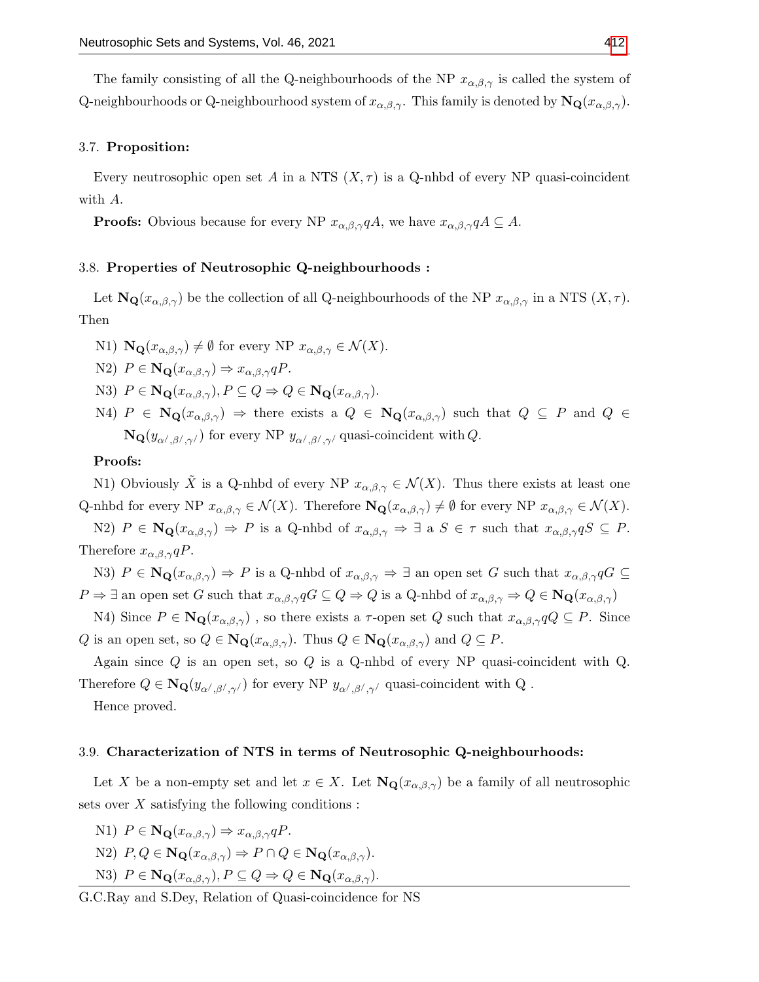The family consisting of all the Q-neighbourhoods of the NP  $x_{\alpha,\beta,\gamma}$  is called the system of Q-neighbourhoods or Q-neighbourhood system of  $x_{\alpha,\beta,\gamma}$ . This family is denoted by  $N_{\mathbf{Q}}(x_{\alpha,\beta,\gamma})$ .

## 3.7. Proposition:

Every neutrosophic open set A in a NTS  $(X, \tau)$  is a Q-nhbd of every NP quasi-coincident with A.

**Proofs:** Obvious because for every NP  $x_{\alpha,\beta,\gamma}qA$ , we have  $x_{\alpha,\beta,\gamma}qA \subseteq A$ .

#### 3.8. Properties of Neutrosophic Q-neighbourhoods :

Let  $\mathbf{N}_{\mathbf{Q}}(x_{\alpha,\beta,\gamma})$  be the collection of all Q-neighbourhoods of the NP  $x_{\alpha,\beta,\gamma}$  in a NTS  $(X,\tau)$ . Then

N1)  $\mathbf{N}_{\mathbf{Q}}(x_{\alpha,\beta,\gamma}) \neq \emptyset$  for every NP  $x_{\alpha,\beta,\gamma} \in \mathcal{N}(X)$ .

$$
N2) \ P \in \mathbf{N}_{\mathbf{Q}}(x_{\alpha,\beta,\gamma}) \Rightarrow x_{\alpha,\beta,\gamma}qP.
$$

- N3)  $P \in \mathbf{N}_{\mathbf{Q}}(x_{\alpha,\beta,\gamma}), P \subseteq Q \Rightarrow Q \in \mathbf{N}_{\mathbf{Q}}(x_{\alpha,\beta,\gamma}).$
- N4)  $P \in \mathbf{N}_{\mathbf{Q}}(x_{\alpha,\beta,\gamma}) \Rightarrow$  there exists a  $Q \in \mathbf{N}_{\mathbf{Q}}(x_{\alpha,\beta,\gamma})$  such that  $Q \subseteq P$  and  $Q \in$  $\mathbf{N}_{\mathbf{Q}}(y_{\alpha',\beta',\gamma'})$  for every NP  $y_{\alpha',\beta',\gamma'}$  quasi-coincident with Q.

#### Proofs:

N1) Obviously  $\tilde{X}$  is a Q-nhbd of every NP  $x_{\alpha,\beta,\gamma} \in \mathcal{N}(X)$ . Thus there exists at least one Q-nhbd for every NP  $x_{\alpha,\beta,\gamma} \in \mathcal{N}(X)$ . Therefore  $\mathbf{N}_{\mathbf{Q}}(x_{\alpha,\beta,\gamma}) \neq \emptyset$  for every NP  $x_{\alpha,\beta,\gamma} \in \mathcal{N}(X)$ .

N2)  $P \in \mathbf{N}_{\mathbf{Q}}(x_{\alpha,\beta,\gamma}) \Rightarrow P$  is a Q-nhbd of  $x_{\alpha,\beta,\gamma} \Rightarrow \exists$  a  $S \in \tau$  such that  $x_{\alpha,\beta,\gamma} qS \subseteq P$ . Therefore  $x_{\alpha,\beta,\gamma}qP$ .

N3)  $P \in \mathbf{N}_{\mathbf{Q}}(x_{\alpha,\beta,\gamma}) \Rightarrow P$  is a Q-nhbd of  $x_{\alpha,\beta,\gamma} \Rightarrow \exists$  an open set G such that  $x_{\alpha,\beta,\gamma}qG \subseteq$  $P \Rightarrow \exists$  an open set G such that  $x_{\alpha,\beta,\gamma} qG \subseteq Q \Rightarrow Q$  is a Q-nhbd of  $x_{\alpha,\beta,\gamma} \Rightarrow Q \in N_{\mathbf{Q}}(x_{\alpha,\beta,\gamma})$ 

N4) Since  $P \in \mathbf{N}_\mathbf{Q}(x_{\alpha,\beta,\gamma})$ , so there exists a  $\tau$ -open set  $Q$  such that  $x_{\alpha,\beta,\gamma}qQ \subseteq P$ . Since Q is an open set, so  $Q \in \mathbf{N}_{\mathbf{Q}}(x_{\alpha,\beta,\gamma})$ . Thus  $Q \in \mathbf{N}_{\mathbf{Q}}(x_{\alpha,\beta,\gamma})$  and  $Q \subseteq P$ .

Again since Q is an open set, so Q is a Q-nhbd of every NP quasi-coincident with Q. Therefore  $Q \in \mathbf{N}_{\mathbf{Q}}(y_{\alpha',\beta',\gamma'})$  for every NP  $y_{\alpha',\beta',\gamma'}$  quasi-coincident with Q.

Hence proved.

#### 3.9. Characterization of NTS in terms of Neutrosophic Q-neighbourhoods:

Let X be a non-empty set and let  $x \in X$ . Let  $\mathbf{N}_{\mathbf{Q}}(x_{\alpha,\beta,\gamma})$  be a family of all neutrosophic sets over  $X$  satisfying the following conditions :

N1)  $P \in \mathbf{N}_{\mathbf{Q}}(x_{\alpha,\beta,\gamma}) \Rightarrow x_{\alpha,\beta,\gamma}qP$ . N2)  $P, Q \in \mathbf{N}_{\mathbf{Q}}(x_{\alpha,\beta,\gamma}) \Rightarrow P \cap Q \in \mathbf{N}_{\mathbf{Q}}(x_{\alpha,\beta,\gamma}).$ N3)  $P \in \mathbf{N}_{\mathbf{Q}}(x_{\alpha,\beta,\gamma}), P \subseteq Q \Rightarrow Q \in \mathbf{N}_{\mathbf{Q}}(x_{\alpha,\beta,\gamma}).$ 

G.C.Ray and S.Dey, Relation of Quasi-coincidence for NS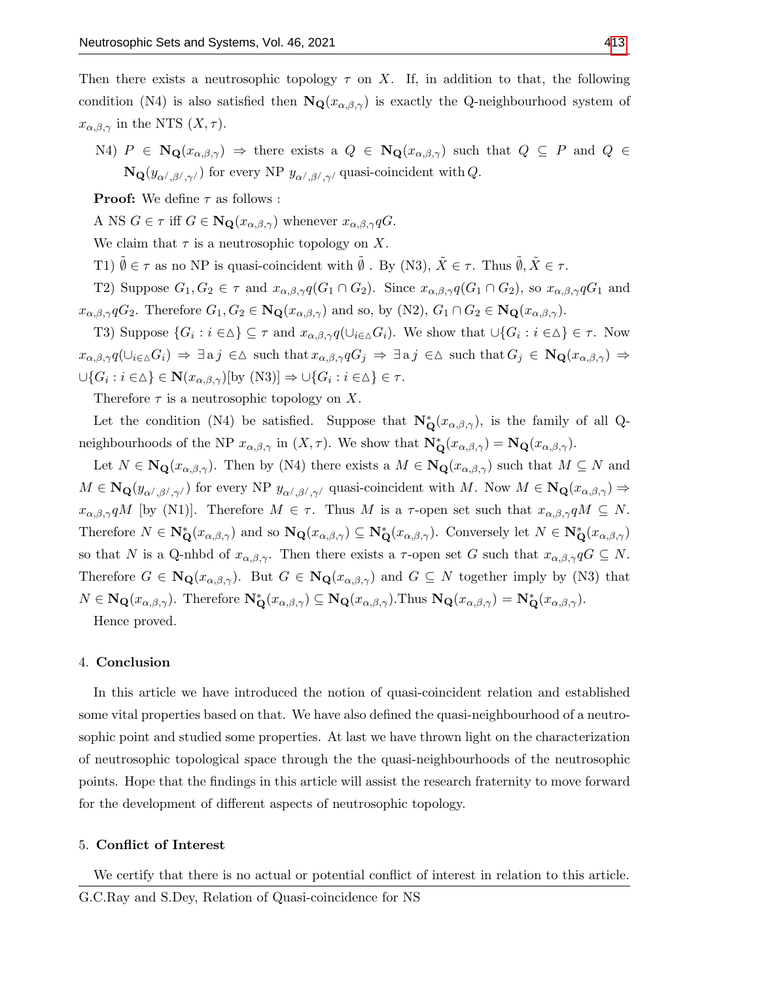Then there exists a neutrosophic topology  $\tau$  on X. If, in addition to that, the following condition (N4) is also satisfied then  $\mathbf{N}_{\mathbf{Q}}(x_{\alpha,\beta,\gamma})$  is exactly the Q-neighbourhood system of  $x_{\alpha,\beta,\gamma}$  in the NTS  $(X,\tau)$ .

N4)  $P \in \mathbf{N}_{\mathbf{Q}}(x_{\alpha,\beta,\gamma}) \Rightarrow$  there exists a  $Q \in \mathbf{N}_{\mathbf{Q}}(x_{\alpha,\beta,\gamma})$  such that  $Q \subseteq P$  and  $Q \in$  $\mathbf{N}_{\mathbf{Q}}(y_{\alpha',\beta',\gamma'})$  for every NP  $y_{\alpha',\beta',\gamma'}$  quasi-coincident with Q.

**Proof:** We define  $\tau$  as follows :

A NS  $G \in \tau$  iff  $G \in \mathbf{N}_{\mathbf{Q}}(x_{\alpha,\beta,\gamma})$  whenever  $x_{\alpha,\beta,\gamma}qG$ .

We claim that  $\tau$  is a neutrosophic topology on X.

T1)  $\emptyset \in \tau$  as no NP is quasi-coincident with  $\emptyset$ . By (N3),  $\tilde{X} \in \tau$ . Thus  $\tilde{\emptyset}$ ,  $\tilde{X} \in \tau$ .

T2) Suppose  $G_1, G_2 \in \tau$  and  $x_{\alpha,\beta,\gamma}q(G_1 \cap G_2)$ . Since  $x_{\alpha,\beta,\gamma}q(G_1 \cap G_2)$ , so  $x_{\alpha,\beta,\gamma}q(G_1)$  and  $x_{\alpha,\beta,\gamma}qG_2$ . Therefore  $G_1, G_2 \in \mathbf{N}_\mathbf{Q}(x_{\alpha,\beta,\gamma})$  and so, by  $(N2), G_1 \cap G_2 \in \mathbf{N}_\mathbf{Q}(x_{\alpha,\beta,\gamma})$ .

T3) Suppose  $\{G_i : i \in \Delta\} \subseteq \tau$  and  $x_{\alpha,\beta,\gamma}q(\cup_{i\in \Delta}G_i)$ . We show that  $\cup\{G_i : i \in \Delta\} \in \tau$ . Now  $x_{\alpha,\beta,\gamma}q(\cup_{i\in\Delta}G_i) \Rightarrow \exists$  a j  $\in \Delta$  such that  $x_{\alpha,\beta,\gamma}qG_j \Rightarrow \exists$  a j  $\in \Delta$  such that  $G_j \in \mathbf{N}_\mathbf{Q}(x_{\alpha,\beta,\gamma}) \Rightarrow$  $\cup\{G_i : i \in \Delta\} \in \mathbf{N}(x_{\alpha,\beta,\gamma})$ [by  $(N3)] \Rightarrow \cup\{G_i : i \in \Delta\} \in \tau$ .

Therefore  $\tau$  is a neutrosophic topology on X.

Let the condition (N4) be satisfied. Suppose that  $N^*_{\mathbf{Q}}(x_{\alpha,\beta,\gamma})$ , is the family of all Qneighbourhoods of the NP  $x_{\alpha,\beta,\gamma}$  in  $(X,\tau)$ . We show that  $\mathbf{N}_{\mathbf{Q}}^*(x_{\alpha,\beta,\gamma}) = \mathbf{N}_{\mathbf{Q}}(x_{\alpha,\beta,\gamma})$ .

Let  $N \in \mathbf{N}_{\mathbf{Q}}(x_{\alpha,\beta,\gamma})$ . Then by (N4) there exists a  $M \in \mathbf{N}_{\mathbf{Q}}(x_{\alpha,\beta,\gamma})$  such that  $M \subseteq N$  and  $M \in \mathbf{N}_{\mathbf{Q}}(y_{\alpha',\beta',\gamma'})$  for every NP  $y_{\alpha',\beta',\gamma'}$  quasi-coincident with M. Now  $M \in \mathbf{N}_{\mathbf{Q}}(x_{\alpha,\beta,\gamma}) \Rightarrow$  $x_{\alpha,\beta,\gamma}qM$  [by (N1)]. Therefore  $M \in \tau$ . Thus M is a  $\tau$ -open set such that  $x_{\alpha,\beta,\gamma}qM \subseteq N$ . Therefore  $N \in \mathbb{N}_{\mathbf{Q}}^*(x_{\alpha,\beta,\gamma})$  and so  $\mathbb{N}_{\mathbf{Q}}(x_{\alpha,\beta,\gamma}) \subseteq \mathbb{N}_{\mathbf{Q}}^*(x_{\alpha,\beta,\gamma})$ . Conversely let  $N \in \mathbb{N}_{\mathbf{Q}}^*(x_{\alpha,\beta,\gamma})$ so that N is a Q-nhbd of  $x_{\alpha,\beta,\gamma}$ . Then there exists a  $\tau$ -open set G such that  $x_{\alpha,\beta,\gamma}qG \subseteq N$ . Therefore  $G \in \mathbf{N}_{\mathbf{Q}}(x_{\alpha,\beta,\gamma})$ . But  $G \in \mathbf{N}_{\mathbf{Q}}(x_{\alpha,\beta,\gamma})$  and  $G \subseteq N$  together imply by (N3) that  $N \in \mathbf{N}_{\mathbf{Q}}(x_{\alpha,\beta,\gamma})$ . Therefore  $\mathbf{N}_{\mathbf{Q}}^*(x_{\alpha,\beta,\gamma}) \subseteq \mathbf{N}_{\mathbf{Q}}(x_{\alpha,\beta,\gamma})$ . Thus  $\mathbf{N}_{\mathbf{Q}}(x_{\alpha,\beta,\gamma}) = \mathbf{N}_{\mathbf{Q}}^*(x_{\alpha,\beta,\gamma})$ .

Hence proved.

# 4. Conclusion

In this article we have introduced the notion of quasi-coincident relation and established some vital properties based on that. We have also defined the quasi-neighbourhood of a neutrosophic point and studied some properties. At last we have thrown light on the characterization of neutrosophic topological space through the the quasi-neighbourhoods of the neutrosophic points. Hope that the findings in this article will assist the research fraternity to move forward for the development of different aspects of neutrosophic topology.

## 5. Conflict of Interest

We certify that there is no actual or potential conflict of interest in relation to this article.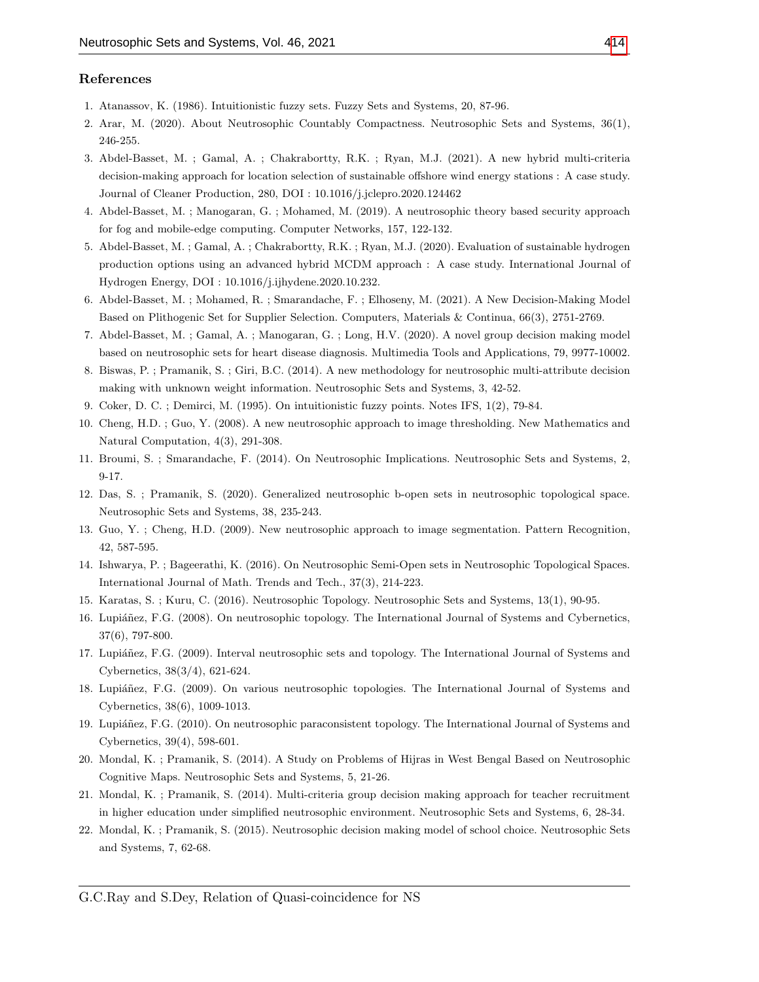#### References

- <span id="page-12-0"></span>1. Atanassov, K. (1986). Intuitionistic fuzzy sets. Fuzzy Sets and Systems, 20, 87-96.
- <span id="page-12-6"></span>2. Arar, M. (2020). About Neutrosophic Countably Compactness. Neutrosophic Sets and Systems, 36(1), 246-255.
- <span id="page-12-9"></span>3. Abdel-Basset, M. ; Gamal, A. ; Chakrabortty, R.K. ; Ryan, M.J. (2021). A new hybrid multi-criteria decision-making approach for location selection of sustainable offshore wind energy stations : A case study. Journal of Cleaner Production, 280, DOI : 10.1016/j.jclepro.2020.124462
- 4. Abdel-Basset, M. ; Manogaran, G. ; Mohamed, M. (2019). A neutrosophic theory based security approach for fog and mobile-edge computing. Computer Networks, 157, 122-132.
- 5. Abdel-Basset, M. ; Gamal, A. ; Chakrabortty, R.K. ; Ryan, M.J. (2020). Evaluation of sustainable hydrogen production options using an advanced hybrid MCDM approach : A case study. International Journal of Hydrogen Energy, DOI : 10.1016/j.ijhydene.2020.10.232.
- <span id="page-12-10"></span>6. Abdel-Basset, M. ; Mohamed, R. ; Smarandache, F. ; Elhoseny, M. (2021). A New Decision-Making Model Based on Plithogenic Set for Supplier Selection. Computers, Materials & Continua, 66(3), 2751-2769.
- <span id="page-12-11"></span>7. Abdel-Basset, M. ; Gamal, A. ; Manogaran, G. ; Long, H.V. (2020). A novel group decision making model based on neutrosophic sets for heart disease diagnosis. Multimedia Tools and Applications, 79, 9977-10002.
- <span id="page-12-12"></span>8. Biswas, P. ; Pramanik, S. ; Giri, B.C. (2014). A new methodology for neutrosophic multi-attribute decision making with unknown weight information. Neutrosophic Sets and Systems, 3, 42-52.
- <span id="page-12-18"></span>9. Coker, D. C. ; Demirci, M. (1995). On intuitionistic fuzzy points. Notes IFS, 1(2), 79-84.
- <span id="page-12-13"></span>10. Cheng, H.D. ; Guo, Y. (2008). A new neutrosophic approach to image thresholding. New Mathematics and Natural Computation, 4(3), 291-308.
- <span id="page-12-1"></span>11. Broumi, S. ; Smarandache, F. (2014). On Neutrosophic Implications. Neutrosophic Sets and Systems, 2, 9-17.
- <span id="page-12-7"></span>12. Das, S. ; Pramanik, S. (2020). Generalized neutrosophic b-open sets in neutrosophic topological space. Neutrosophic Sets and Systems, 38, 235-243.
- <span id="page-12-14"></span>13. Guo, Y. ; Cheng, H.D. (2009). New neutrosophic approach to image segmentation. Pattern Recognition, 42, 587-595.
- <span id="page-12-8"></span>14. Ishwarya, P. ; Bageerathi, K. (2016). On Neutrosophic Semi-Open sets in Neutrosophic Topological Spaces. International Journal of Math. Trends and Tech., 37(3), 214-223.
- <span id="page-12-5"></span>15. Karatas, S. ; Kuru, C. (2016). Neutrosophic Topology. Neutrosophic Sets and Systems, 13(1), 90-95.
- <span id="page-12-2"></span>16. Lupiáñez, F.G. (2008). On neutrosophic topology. The International Journal of Systems and Cybernetics, 37(6), 797-800.
- <span id="page-12-4"></span>17. Lupiáñez, F.G. (2009). Interval neutrosophic sets and topology. The International Journal of Systems and Cybernetics, 38(3/4), 621-624.
- 18. Lupiáñez, F.G. (2009). On various neutrosophic topologies. The International Journal of Systems and Cybernetics, 38(6), 1009-1013.
- <span id="page-12-3"></span>19. Lupiáñez, F.G. (2010). On neutrosophic paraconsistent topology. The International Journal of Systems and Cybernetics, 39(4), 598-601.
- <span id="page-12-15"></span>20. Mondal, K. ; Pramanik, S. (2014). A Study on Problems of Hijras in West Bengal Based on Neutrosophic Cognitive Maps. Neutrosophic Sets and Systems, 5, 21-26.
- <span id="page-12-16"></span>21. Mondal, K. ; Pramanik, S. (2014). Multi-criteria group decision making approach for teacher recruitment in higher education under simplified neutrosophic environment. Neutrosophic Sets and Systems, 6, 28-34.
- <span id="page-12-17"></span>22. Mondal, K. ; Pramanik, S. (2015). Neutrosophic decision making model of school choice. Neutrosophic Sets and Systems, 7, 62-68.